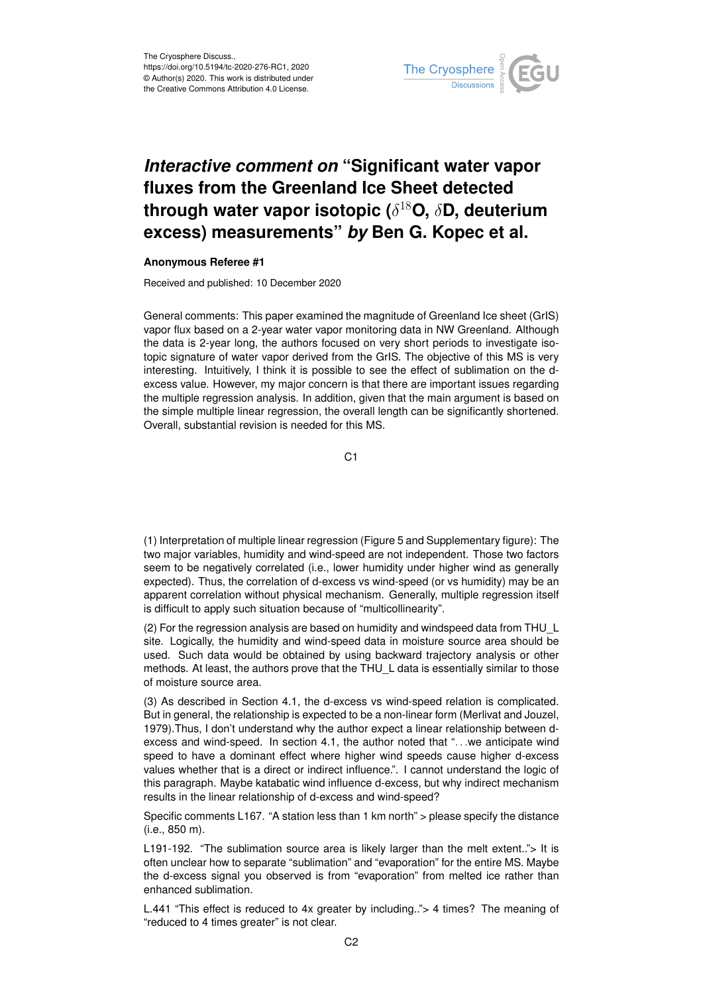

## *Interactive comment on* **"Significant water vapor fluxes from the Greenland Ice Sheet detected through water vapor isotopic (**δ <sup>18</sup>**O,** δ**D, deuterium excess) measurements"** *by* **Ben G. Kopec et al.**

## **Anonymous Referee #1**

Received and published: 10 December 2020

General comments: This paper examined the magnitude of Greenland Ice sheet (GrIS) vapor flux based on a 2-year water vapor monitoring data in NW Greenland. Although the data is 2-year long, the authors focused on very short periods to investigate isotopic signature of water vapor derived from the GrIS. The objective of this MS is very interesting. Intuitively, I think it is possible to see the effect of sublimation on the dexcess value. However, my major concern is that there are important issues regarding the multiple regression analysis. In addition, given that the main argument is based on the simple multiple linear regression, the overall length can be significantly shortened. Overall, substantial revision is needed for this MS.

C1

(1) Interpretation of multiple linear regression (Figure 5 and Supplementary figure): The two major variables, humidity and wind-speed are not independent. Those two factors seem to be negatively correlated (i.e., lower humidity under higher wind as generally expected). Thus, the correlation of d-excess vs wind-speed (or vs humidity) may be an apparent correlation without physical mechanism. Generally, multiple regression itself is difficult to apply such situation because of "multicollinearity".

(2) For the regression analysis are based on humidity and windspeed data from THU\_L site. Logically, the humidity and wind-speed data in moisture source area should be used. Such data would be obtained by using backward trajectory analysis or other methods. At least, the authors prove that the THU\_L data is essentially similar to those of moisture source area.

(3) As described in Section 4.1, the d-excess vs wind-speed relation is complicated. But in general, the relationship is expected to be a non-linear form (Merlivat and Jouzel, 1979).Thus, I don't understand why the author expect a linear relationship between dexcess and wind-speed. In section 4.1, the author noted that ". . .we anticipate wind speed to have a dominant effect where higher wind speeds cause higher d-excess values whether that is a direct or indirect influence.". I cannot understand the logic of this paragraph. Maybe katabatic wind influence d-excess, but why indirect mechanism results in the linear relationship of d-excess and wind-speed?

Specific comments L167. "A station less than 1 km north" > please specify the distance (i.e., 850 m).

L191-192. "The sublimation source area is likely larger than the melt extent.."> It is often unclear how to separate "sublimation" and "evaporation" for the entire MS. Maybe the d-excess signal you observed is from "evaporation" from melted ice rather than enhanced sublimation.

L.441 "This effect is reduced to 4x greater by including.."> 4 times? The meaning of "reduced to 4 times greater" is not clear.